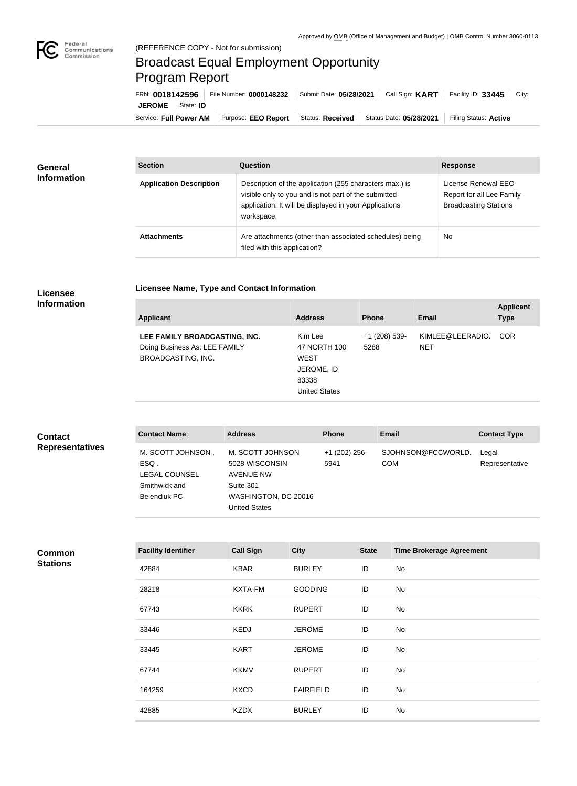

## Broadcast Equal Employment Opportunity Program Report

Service: Full Power AM | Purpose: EEO Report | Status: Received | Status Date: 05/28/2021 | Filing Status: Active **JEROME** | State: **ID** FRN: **0018142596** File Number: **0000148232** Submit Date: **05/28/2021** Call Sign: **KART** Facility ID: **33445** City:

| <b>General</b><br><b>Information</b> | <b>Section</b>                 | Question                                                                                                                                                                                | <b>Response</b>                                                                  |
|--------------------------------------|--------------------------------|-----------------------------------------------------------------------------------------------------------------------------------------------------------------------------------------|----------------------------------------------------------------------------------|
|                                      | <b>Application Description</b> | Description of the application (255 characters max.) is<br>visible only to you and is not part of the submitted<br>application. It will be displayed in your Applications<br>workspace. | License Renewal EEO<br>Report for all Lee Family<br><b>Broadcasting Stations</b> |
|                                      | <b>Attachments</b>             | Are attachments (other than associated schedules) being<br>filed with this application?                                                                                                 | <b>No</b>                                                                        |

## **Licensee Information**

**Licensee Name, Type and Contact Information**

| Applicant                                                                                   | <b>Address</b>                                                                        | <b>Phone</b>          | Email                          | <b>Applicant</b><br><b>Type</b> |
|---------------------------------------------------------------------------------------------|---------------------------------------------------------------------------------------|-----------------------|--------------------------------|---------------------------------|
| LEE FAMILY BROADCASTING, INC.<br>Doing Business As: LEE FAMILY<br><b>BROADCASTING, INC.</b> | Kim Lee<br>47 NORTH 100<br><b>WEST</b><br>JEROME, ID<br>83338<br><b>United States</b> | +1 (208) 539-<br>5288 | KIMLEE@LEERADIO.<br><b>NET</b> | COR.                            |

| <b>Contact</b>         | <b>Contact Name</b>                                                         | <b>Address</b>                                                                                               | <b>Phone</b>          | <b>Email</b>                     | <b>Contact Type</b>     |
|------------------------|-----------------------------------------------------------------------------|--------------------------------------------------------------------------------------------------------------|-----------------------|----------------------------------|-------------------------|
| <b>Representatives</b> | M. SCOTT JOHNSON,<br>ESQ.<br>LEGAL COUNSEL<br>Smithwick and<br>Belendiuk PC | M. SCOTT JOHNSON<br>5028 WISCONSIN<br>AVENUE NW<br>Suite 301<br>WASHINGTON, DC 20016<br><b>United States</b> | +1 (202) 256-<br>5941 | SJOHNSON@FCCWORLD.<br><b>COM</b> | Legal<br>Representative |

| Common          |  |
|-----------------|--|
| <b>Stations</b> |  |

| <b>Facility Identifier</b> | <b>Call Sign</b> | <b>City</b>      | <b>State</b> | <b>Time Brokerage Agreement</b> |
|----------------------------|------------------|------------------|--------------|---------------------------------|
| 42884                      | <b>KBAR</b>      | <b>BURLEY</b>    | ID           | No                              |
| 28218                      | <b>KXTA-FM</b>   | <b>GOODING</b>   | ID           | No                              |
| 67743                      | <b>KKRK</b>      | <b>RUPERT</b>    | ID           | No                              |
| 33446                      | <b>KEDJ</b>      | <b>JEROME</b>    | ID           | No                              |
| 33445                      | <b>KART</b>      | <b>JEROME</b>    | ID           | No                              |
| 67744                      | <b>KKMV</b>      | <b>RUPERT</b>    | ID           | No                              |
| 164259                     | <b>KXCD</b>      | <b>FAIRFIELD</b> | ID           | No                              |
| 42885                      | <b>KZDX</b>      | <b>BURLEY</b>    | ID           | No                              |